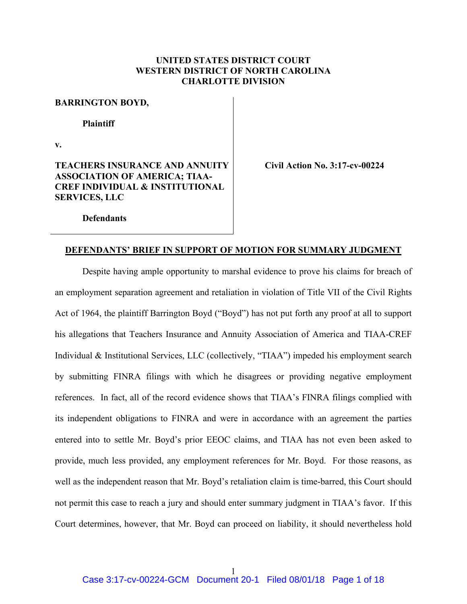## **UNITED STATES DISTRICT COURT WESTERN DISTRICT OF NORTH CAROLINA CHARLOTTE DIVISION**

#### **BARRINGTON BOYD,**

#### **Plaintiff**

**v.** 

## **TEACHERS INSURANCE AND ANNUITY ASSOCIATION OF AMERICA; TIAA-CREF INDIVIDUAL & INSTITUTIONAL SERVICES, LLC**

**Civil Action No. 3:17-cv-00224** 

**Defendants** 

### **DEFENDANTS' BRIEF IN SUPPORT OF MOTION FOR SUMMARY JUDGMENT**

 Despite having ample opportunity to marshal evidence to prove his claims for breach of an employment separation agreement and retaliation in violation of Title VII of the Civil Rights Act of 1964, the plaintiff Barrington Boyd ("Boyd") has not put forth any proof at all to support his allegations that Teachers Insurance and Annuity Association of America and TIAA-CREF Individual & Institutional Services, LLC (collectively, "TIAA") impeded his employment search by submitting FINRA filings with which he disagrees or providing negative employment references. In fact, all of the record evidence shows that TIAA's FINRA filings complied with its independent obligations to FINRA and were in accordance with an agreement the parties entered into to settle Mr. Boyd's prior EEOC claims, and TIAA has not even been asked to provide, much less provided, any employment references for Mr. Boyd. For those reasons, as well as the independent reason that Mr. Boyd's retaliation claim is time-barred, this Court should not permit this case to reach a jury and should enter summary judgment in TIAA's favor. If this Court determines, however, that Mr. Boyd can proceed on liability, it should nevertheless hold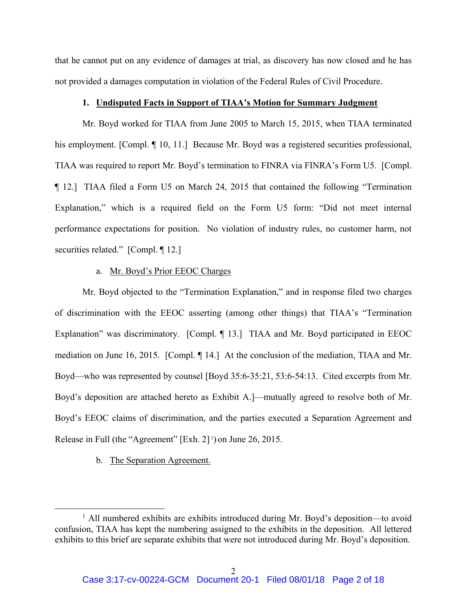that he cannot put on any evidence of damages at trial, as discovery has now closed and he has not provided a damages computation in violation of the Federal Rules of Civil Procedure.

### **1. Undisputed Facts in Support of TIAA's Motion for Summary Judgment**

 Mr. Boyd worked for TIAA from June 2005 to March 15, 2015, when TIAA terminated his employment. [Compl. ¶ 10, 11.] Because Mr. Boyd was a registered securities professional, TIAA was required to report Mr. Boyd's termination to FINRA via FINRA's Form U5. [Compl. ¶ 12.] TIAA filed a Form U5 on March 24, 2015 that contained the following "Termination Explanation," which is a required field on the Form U5 form: "Did not meet internal performance expectations for position. No violation of industry rules, no customer harm, not securities related." [Compl. 12.]

### a. Mr. Boyd's Prior EEOC Charges

 Mr. Boyd objected to the "Termination Explanation," and in response filed two charges of discrimination with the EEOC asserting (among other things) that TIAA's "Termination Explanation" was discriminatory. [Compl. ¶ 13.] TIAA and Mr. Boyd participated in EEOC mediation on June 16, 2015. [Compl. ¶ 14.] At the conclusion of the mediation, TIAA and Mr. Boyd—who was represented by counsel [Boyd 35:6-35:21, 53:6-54:13. Cited excerpts from Mr. Boyd's deposition are attached hereto as Exhibit A.]—mutually agreed to resolve both of Mr. Boyd's EEOC claims of discrimination, and the parties executed a Separation Agreement and Release in Full (the "Agreement" [Exh. 2] 1) on June 26, 2015.

### b. The Separation Agreement.

 $\overline{\phantom{a}1}$ <sup>1</sup> All numbered exhibits are exhibits introduced during Mr. Boyd's deposition—to avoid confusion, TIAA has kept the numbering assigned to the exhibits in the deposition. All lettered exhibits to this brief are separate exhibits that were not introduced during Mr. Boyd's deposition.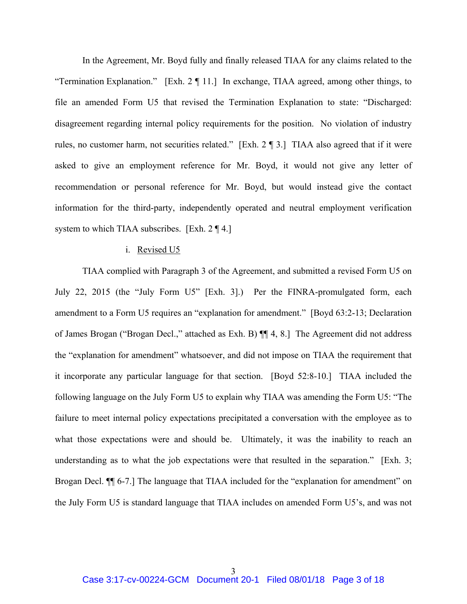In the Agreement, Mr. Boyd fully and finally released TIAA for any claims related to the "Termination Explanation." [Exh. 2 ¶ 11.] In exchange, TIAA agreed, among other things, to file an amended Form U5 that revised the Termination Explanation to state: "Discharged: disagreement regarding internal policy requirements for the position. No violation of industry rules, no customer harm, not securities related." [Exh. 2 ¶ 3.] TIAA also agreed that if it were asked to give an employment reference for Mr. Boyd, it would not give any letter of recommendation or personal reference for Mr. Boyd, but would instead give the contact information for the third-party, independently operated and neutral employment verification system to which TIAA subscribes. [Exh. 2 ¶ 4.]

#### i. Revised U5

 TIAA complied with Paragraph 3 of the Agreement, and submitted a revised Form U5 on July 22, 2015 (the "July Form U5" [Exh. 3].) Per the FINRA-promulgated form, each amendment to a Form U5 requires an "explanation for amendment." [Boyd 63:2-13; Declaration of James Brogan ("Brogan Decl.," attached as Exh. B) ¶¶ 4, 8.] The Agreement did not address the "explanation for amendment" whatsoever, and did not impose on TIAA the requirement that it incorporate any particular language for that section. [Boyd 52:8-10.] TIAA included the following language on the July Form U5 to explain why TIAA was amending the Form U5: "The failure to meet internal policy expectations precipitated a conversation with the employee as to what those expectations were and should be. Ultimately, it was the inability to reach an understanding as to what the job expectations were that resulted in the separation." [Exh. 3; Brogan Decl. II 6-7.] The language that TIAA included for the "explanation for amendment" on the July Form U5 is standard language that TIAA includes on amended Form U5's, and was not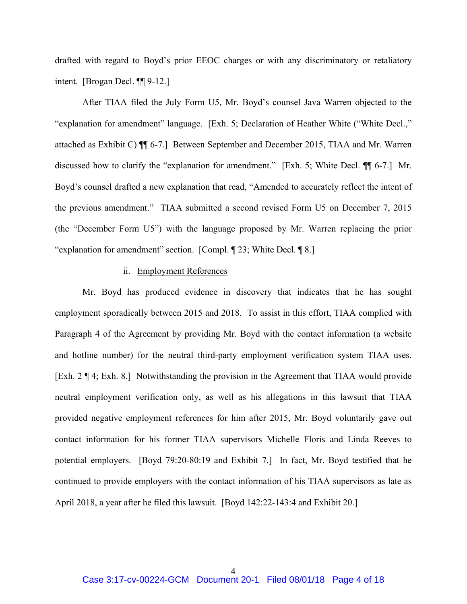drafted with regard to Boyd's prior EEOC charges or with any discriminatory or retaliatory intent. [Brogan Decl. ¶¶ 9-12.]

 After TIAA filed the July Form U5, Mr. Boyd's counsel Java Warren objected to the "explanation for amendment" language. [Exh. 5; Declaration of Heather White ("White Decl.," attached as Exhibit C) ¶¶ 6-7.] Between September and December 2015, TIAA and Mr. Warren discussed how to clarify the "explanation for amendment." [Exh. 5; White Decl. ¶¶ 6-7.] Mr. Boyd's counsel drafted a new explanation that read, "Amended to accurately reflect the intent of the previous amendment." TIAA submitted a second revised Form U5 on December 7, 2015 (the "December Form U5") with the language proposed by Mr. Warren replacing the prior "explanation for amendment" section. [Compl. ¶ 23; White Decl. ¶ 8.]

#### ii. Employment References

 Mr. Boyd has produced evidence in discovery that indicates that he has sought employment sporadically between 2015 and 2018. To assist in this effort, TIAA complied with Paragraph 4 of the Agreement by providing Mr. Boyd with the contact information (a website and hotline number) for the neutral third-party employment verification system TIAA uses. [Exh. 2 ¶ 4; Exh. 8.] Notwithstanding the provision in the Agreement that TIAA would provide neutral employment verification only, as well as his allegations in this lawsuit that TIAA provided negative employment references for him after 2015, Mr. Boyd voluntarily gave out contact information for his former TIAA supervisors Michelle Floris and Linda Reeves to potential employers. [Boyd 79:20-80:19 and Exhibit 7.] In fact, Mr. Boyd testified that he continued to provide employers with the contact information of his TIAA supervisors as late as April 2018, a year after he filed this lawsuit. [Boyd 142:22-143:4 and Exhibit 20.]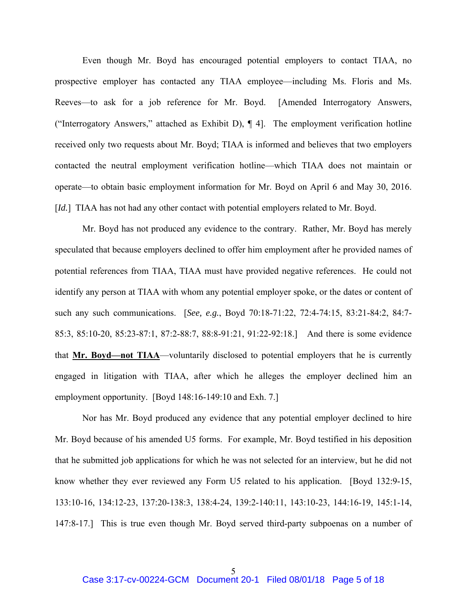Even though Mr. Boyd has encouraged potential employers to contact TIAA, no prospective employer has contacted any TIAA employee—including Ms. Floris and Ms. Reeves—to ask for a job reference for Mr. Boyd. [Amended Interrogatory Answers, ("Interrogatory Answers," attached as Exhibit D), ¶ 4]. The employment verification hotline received only two requests about Mr. Boyd; TIAA is informed and believes that two employers contacted the neutral employment verification hotline—which TIAA does not maintain or operate—to obtain basic employment information for Mr. Boyd on April 6 and May 30, 2016. [*Id.*] TIAA has not had any other contact with potential employers related to Mr. Boyd.

 Mr. Boyd has not produced any evidence to the contrary. Rather, Mr. Boyd has merely speculated that because employers declined to offer him employment after he provided names of potential references from TIAA, TIAA must have provided negative references. He could not identify any person at TIAA with whom any potential employer spoke, or the dates or content of such any such communications. [*See, e.g.*, Boyd 70:18-71:22, 72:4-74:15, 83:21-84:2, 84:7- 85:3, 85:10-20, 85:23-87:1, 87:2-88:7, 88:8-91:21, 91:22-92:18.] And there is some evidence that **Mr. Boyd—not TIAA**—voluntarily disclosed to potential employers that he is currently engaged in litigation with TIAA, after which he alleges the employer declined him an employment opportunity. [Boyd 148:16-149:10 and Exh. 7.]

 Nor has Mr. Boyd produced any evidence that any potential employer declined to hire Mr. Boyd because of his amended U5 forms. For example, Mr. Boyd testified in his deposition that he submitted job applications for which he was not selected for an interview, but he did not know whether they ever reviewed any Form U5 related to his application. [Boyd 132:9-15, 133:10-16, 134:12-23, 137:20-138:3, 138:4-24, 139:2-140:11, 143:10-23, 144:16-19, 145:1-14, 147:8-17.] This is true even though Mr. Boyd served third-party subpoenas on a number of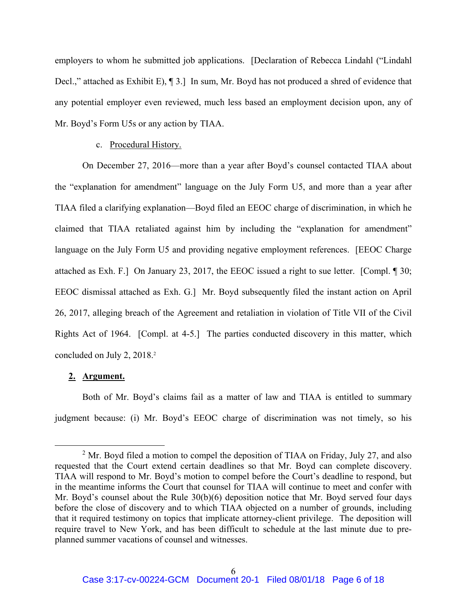employers to whom he submitted job applications. [Declaration of Rebecca Lindahl ("Lindahl Decl.," attached as Exhibit E), ¶ 3.] In sum, Mr. Boyd has not produced a shred of evidence that any potential employer even reviewed, much less based an employment decision upon, any of Mr. Boyd's Form U5s or any action by TIAA.

### c. Procedural History.

 On December 27, 2016—more than a year after Boyd's counsel contacted TIAA about the "explanation for amendment" language on the July Form U5, and more than a year after TIAA filed a clarifying explanation—Boyd filed an EEOC charge of discrimination, in which he claimed that TIAA retaliated against him by including the "explanation for amendment" language on the July Form U5 and providing negative employment references. [EEOC Charge attached as Exh. F.] On January 23, 2017, the EEOC issued a right to sue letter. [Compl. ¶ 30; EEOC dismissal attached as Exh. G.] Mr. Boyd subsequently filed the instant action on April 26, 2017, alleging breach of the Agreement and retaliation in violation of Title VII of the Civil Rights Act of 1964. [Compl. at 4-5.] The parties conducted discovery in this matter, which concluded on July 2, 2018.<sup>2</sup>

### **2. Argument.**

 Both of Mr. Boyd's claims fail as a matter of law and TIAA is entitled to summary judgment because: (i) Mr. Boyd's EEOC charge of discrimination was not timely, so his

 <sup>2</sup> <sup>2</sup> Mr. Boyd filed a motion to compel the deposition of TIAA on Friday, July 27, and also requested that the Court extend certain deadlines so that Mr. Boyd can complete discovery. TIAA will respond to Mr. Boyd's motion to compel before the Court's deadline to respond, but in the meantime informs the Court that counsel for TIAA will continue to meet and confer with Mr. Boyd's counsel about the Rule 30(b)(6) deposition notice that Mr. Boyd served four days before the close of discovery and to which TIAA objected on a number of grounds, including that it required testimony on topics that implicate attorney-client privilege. The deposition will require travel to New York, and has been difficult to schedule at the last minute due to preplanned summer vacations of counsel and witnesses.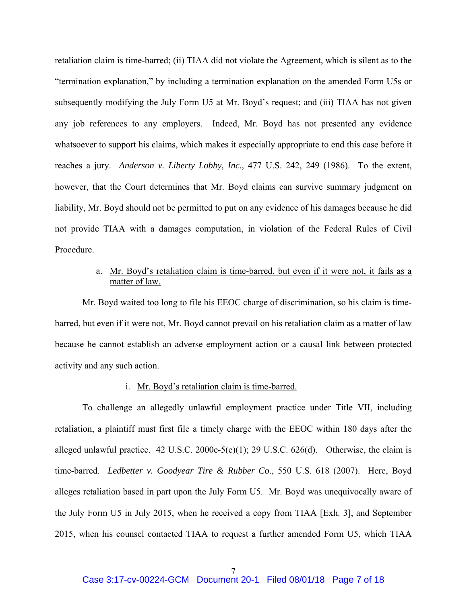retaliation claim is time-barred; (ii) TIAA did not violate the Agreement, which is silent as to the "termination explanation," by including a termination explanation on the amended Form U5s or subsequently modifying the July Form U5 at Mr. Boyd's request; and (iii) TIAA has not given any job references to any employers. Indeed, Mr. Boyd has not presented any evidence whatsoever to support his claims, which makes it especially appropriate to end this case before it reaches a jury. *Anderson v. Liberty Lobby, Inc.,* 477 U.S. 242, 249 (1986). To the extent, however, that the Court determines that Mr. Boyd claims can survive summary judgment on liability, Mr. Boyd should not be permitted to put on any evidence of his damages because he did not provide TIAA with a damages computation, in violation of the Federal Rules of Civil Procedure.

# a. Mr. Boyd's retaliation claim is time-barred, but even if it were not, it fails as a matter of law.

 Mr. Boyd waited too long to file his EEOC charge of discrimination, so his claim is timebarred, but even if it were not, Mr. Boyd cannot prevail on his retaliation claim as a matter of law because he cannot establish an adverse employment action or a causal link between protected activity and any such action.

#### i. Mr. Boyd's retaliation claim is time-barred.

 To challenge an allegedly unlawful employment practice under Title VII, including retaliation, a plaintiff must first file a timely charge with the EEOC within 180 days after the alleged unlawful practice. 42 U.S.C. 2000e-5(e)(1); 29 U.S.C.  $626(d)$ . Otherwise, the claim is time-barred. *Ledbetter v. Goodyear Tire & Rubber Co*., 550 U.S. 618 (2007). Here, Boyd alleges retaliation based in part upon the July Form U5. Mr. Boyd was unequivocally aware of the July Form U5 in July 2015, when he received a copy from TIAA [Exh. 3], and September 2015, when his counsel contacted TIAA to request a further amended Form U5, which TIAA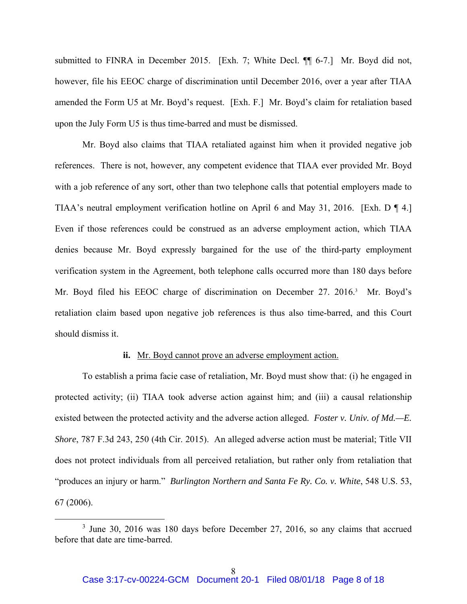submitted to FINRA in December 2015. [Exh. 7; White Decl. ¶¶ 6-7.] Mr. Boyd did not, however, file his EEOC charge of discrimination until December 2016, over a year after TIAA amended the Form U5 at Mr. Boyd's request. [Exh. F.] Mr. Boyd's claim for retaliation based upon the July Form U5 is thus time-barred and must be dismissed.

 Mr. Boyd also claims that TIAA retaliated against him when it provided negative job references. There is not, however, any competent evidence that TIAA ever provided Mr. Boyd with a job reference of any sort, other than two telephone calls that potential employers made to TIAA's neutral employment verification hotline on April 6 and May 31, 2016. [Exh. D ¶ 4.] Even if those references could be construed as an adverse employment action, which TIAA denies because Mr. Boyd expressly bargained for the use of the third-party employment verification system in the Agreement, both telephone calls occurred more than 180 days before Mr. Boyd filed his EEOC charge of discrimination on December 27. 2016.<sup>3</sup> Mr. Boyd's retaliation claim based upon negative job references is thus also time-barred, and this Court should dismiss it.

### **ii.** Mr. Boyd cannot prove an adverse employment action.

 To establish a prima facie case of retaliation, Mr. Boyd must show that: (i) he engaged in protected activity; (ii) TIAA took adverse action against him; and (iii) a causal relationship existed between the protected activity and the adverse action alleged. *Foster v. Univ. of Md.—E. Shore*, 787 F.3d 243, 250 (4th Cir. 2015). An alleged adverse action must be material; Title VII does not protect individuals from all perceived retaliation, but rather only from retaliation that "produces an injury or harm." *Burlington Northern and Santa Fe Ry. Co. v. White*, 548 U.S. 53, 67 (2006).

 $\frac{1}{3}$  $3$  June 30, 2016 was 180 days before December 27, 2016, so any claims that accrued before that date are time-barred.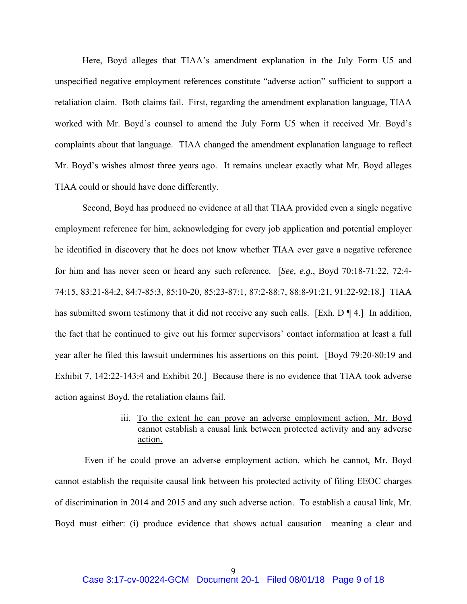Here, Boyd alleges that TIAA's amendment explanation in the July Form U5 and unspecified negative employment references constitute "adverse action" sufficient to support a retaliation claim. Both claims fail. First, regarding the amendment explanation language, TIAA worked with Mr. Boyd's counsel to amend the July Form U5 when it received Mr. Boyd's complaints about that language. TIAA changed the amendment explanation language to reflect Mr. Boyd's wishes almost three years ago. It remains unclear exactly what Mr. Boyd alleges TIAA could or should have done differently.

 Second, Boyd has produced no evidence at all that TIAA provided even a single negative employment reference for him, acknowledging for every job application and potential employer he identified in discovery that he does not know whether TIAA ever gave a negative reference for him and has never seen or heard any such reference. [*See, e.g.*, Boyd 70:18-71:22, 72:4- 74:15, 83:21-84:2, 84:7-85:3, 85:10-20, 85:23-87:1, 87:2-88:7, 88:8-91:21, 91:22-92:18.] TIAA has submitted sworn testimony that it did not receive any such calls. [Exh. D ¶ 4.] In addition, the fact that he continued to give out his former supervisors' contact information at least a full year after he filed this lawsuit undermines his assertions on this point. [Boyd 79:20-80:19 and Exhibit 7, 142:22-143:4 and Exhibit 20.] Because there is no evidence that TIAA took adverse action against Boyd, the retaliation claims fail.

# iii. To the extent he can prove an adverse employment action, Mr. Boyd cannot establish a causal link between protected activity and any adverse action.

 Even if he could prove an adverse employment action, which he cannot, Mr. Boyd cannot establish the requisite causal link between his protected activity of filing EEOC charges of discrimination in 2014 and 2015 and any such adverse action. To establish a causal link, Mr. Boyd must either: (i) produce evidence that shows actual causation—meaning a clear and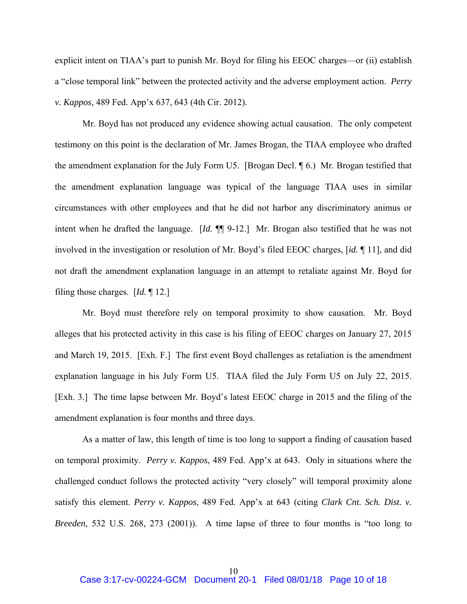explicit intent on TIAA's part to punish Mr. Boyd for filing his EEOC charges—or (ii) establish a "close temporal link" between the protected activity and the adverse employment action. *Perry v. Kappos*, 489 Fed. App'x 637, 643 (4th Cir. 2012).

 Mr. Boyd has not produced any evidence showing actual causation. The only competent testimony on this point is the declaration of Mr. James Brogan, the TIAA employee who drafted the amendment explanation for the July Form U5. [Brogan Decl. ¶ 6.) Mr. Brogan testified that the amendment explanation language was typical of the language TIAA uses in similar circumstances with other employees and that he did not harbor any discriminatory animus or intent when he drafted the language. [*Id.* ¶¶ 9-12.] Mr. Brogan also testified that he was not involved in the investigation or resolution of Mr. Boyd's filed EEOC charges, [*id.* ¶ 11], and did not draft the amendment explanation language in an attempt to retaliate against Mr. Boyd for filing those charges. [*Id.* ¶ 12.]

 Mr. Boyd must therefore rely on temporal proximity to show causation. Mr. Boyd alleges that his protected activity in this case is his filing of EEOC charges on January 27, 2015 and March 19, 2015. [Exh. F.] The first event Boyd challenges as retaliation is the amendment explanation language in his July Form U5. TIAA filed the July Form U5 on July 22, 2015. [Exh. 3.] The time lapse between Mr. Boyd's latest EEOC charge in 2015 and the filing of the amendment explanation is four months and three days.

 As a matter of law, this length of time is too long to support a finding of causation based on temporal proximity. *Perry v. Kappos*, 489 Fed. App'x at 643. Only in situations where the challenged conduct follows the protected activity "very closely" will temporal proximity alone satisfy this element. *Perry v. Kappos*, 489 Fed. App'x at 643 (citing *Clark Cnt. Sch. Dist. v. Breeden*, 532 U.S. 268, 273 (2001)). A time lapse of three to four months is "too long to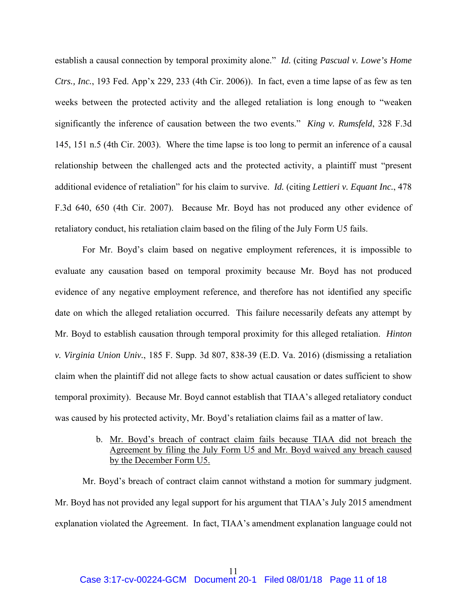establish a causal connection by temporal proximity alone." *Id.* (citing *Pascual v. Lowe's Home Ctrs., Inc.*, 193 Fed. App'x 229, 233 (4th Cir. 2006)). In fact, even a time lapse of as few as ten weeks between the protected activity and the alleged retaliation is long enough to "weaken significantly the inference of causation between the two events." *King v. Rumsfeld*, 328 F.3d 145, 151 n.5 (4th Cir. 2003). Where the time lapse is too long to permit an inference of a causal relationship between the challenged acts and the protected activity, a plaintiff must "present additional evidence of retaliation" for his claim to survive. *Id.* (citing *Lettieri v. Equant Inc.*, 478 F.3d 640, 650 (4th Cir. 2007). Because Mr. Boyd has not produced any other evidence of retaliatory conduct, his retaliation claim based on the filing of the July Form U5 fails.

 For Mr. Boyd's claim based on negative employment references, it is impossible to evaluate any causation based on temporal proximity because Mr. Boyd has not produced evidence of any negative employment reference, and therefore has not identified any specific date on which the alleged retaliation occurred. This failure necessarily defeats any attempt by Mr. Boyd to establish causation through temporal proximity for this alleged retaliation. *Hinton v. Virginia Union Univ.*, 185 F. Supp. 3d 807, 838-39 (E.D. Va. 2016) (dismissing a retaliation claim when the plaintiff did not allege facts to show actual causation or dates sufficient to show temporal proximity). Because Mr. Boyd cannot establish that TIAA's alleged retaliatory conduct was caused by his protected activity, Mr. Boyd's retaliation claims fail as a matter of law.

> b. Mr. Boyd's breach of contract claim fails because TIAA did not breach the Agreement by filing the July Form U5 and Mr. Boyd waived any breach caused by the December Form U5.

 Mr. Boyd's breach of contract claim cannot withstand a motion for summary judgment. Mr. Boyd has not provided any legal support for his argument that TIAA's July 2015 amendment explanation violated the Agreement. In fact, TIAA's amendment explanation language could not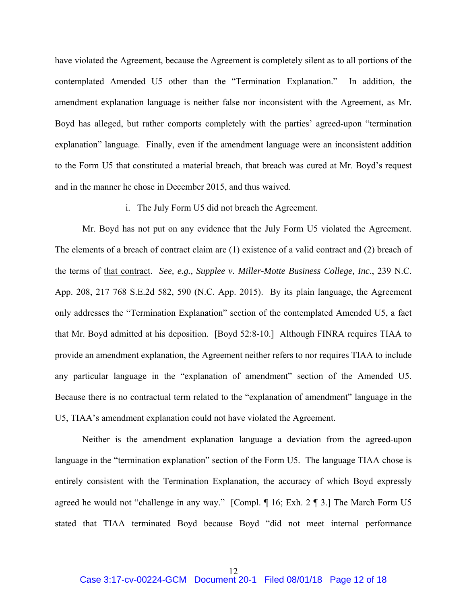have violated the Agreement, because the Agreement is completely silent as to all portions of the contemplated Amended U5 other than the "Termination Explanation." In addition, the amendment explanation language is neither false nor inconsistent with the Agreement, as Mr. Boyd has alleged, but rather comports completely with the parties' agreed-upon "termination explanation" language. Finally, even if the amendment language were an inconsistent addition to the Form U5 that constituted a material breach, that breach was cured at Mr. Boyd's request and in the manner he chose in December 2015, and thus waived.

#### i. The July Form U5 did not breach the Agreement.

 Mr. Boyd has not put on any evidence that the July Form U5 violated the Agreement. The elements of a breach of contract claim are (1) existence of a valid contract and (2) breach of the terms of that contract. *See, e.g., Supplee v. Miller-Motte Business College, Inc*., 239 N.C. App. 208, 217 768 S.E.2d 582, 590 (N.C. App. 2015). By its plain language, the Agreement only addresses the "Termination Explanation" section of the contemplated Amended U5, a fact that Mr. Boyd admitted at his deposition. [Boyd 52:8-10.] Although FINRA requires TIAA to provide an amendment explanation, the Agreement neither refers to nor requires TIAA to include any particular language in the "explanation of amendment" section of the Amended U5. Because there is no contractual term related to the "explanation of amendment" language in the U5, TIAA's amendment explanation could not have violated the Agreement.

 Neither is the amendment explanation language a deviation from the agreed-upon language in the "termination explanation" section of the Form U5. The language TIAA chose is entirely consistent with the Termination Explanation, the accuracy of which Boyd expressly agreed he would not "challenge in any way." [Compl. ¶ 16; Exh. 2 ¶ 3.] The March Form U5 stated that TIAA terminated Boyd because Boyd "did not meet internal performance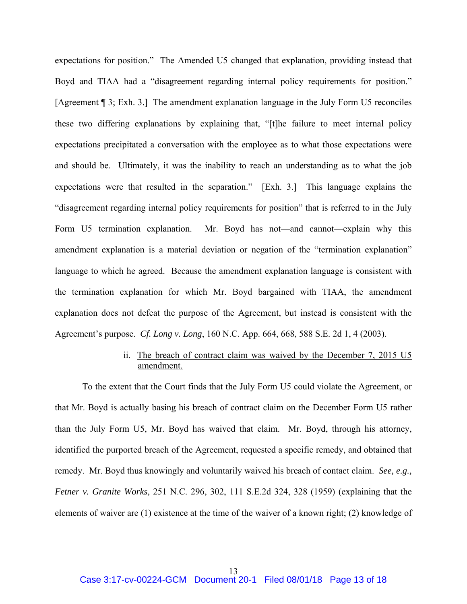expectations for position." The Amended U5 changed that explanation, providing instead that Boyd and TIAA had a "disagreement regarding internal policy requirements for position." [Agreement ¶ 3; Exh. 3.] The amendment explanation language in the July Form U5 reconciles these two differing explanations by explaining that, "[t]he failure to meet internal policy expectations precipitated a conversation with the employee as to what those expectations were and should be. Ultimately, it was the inability to reach an understanding as to what the job expectations were that resulted in the separation." [Exh. 3.] This language explains the "disagreement regarding internal policy requirements for position" that is referred to in the July Form U5 termination explanation. Mr. Boyd has not—and cannot—explain why this amendment explanation is a material deviation or negation of the "termination explanation" language to which he agreed. Because the amendment explanation language is consistent with the termination explanation for which Mr. Boyd bargained with TIAA, the amendment explanation does not defeat the purpose of the Agreement, but instead is consistent with the Agreement's purpose. *Cf. Long v. Long*, 160 N.C. App. 664, 668, 588 S.E. 2d 1, 4 (2003).

## ii. The breach of contract claim was waived by the December 7, 2015 U5 amendment.

 To the extent that the Court finds that the July Form U5 could violate the Agreement, or that Mr. Boyd is actually basing his breach of contract claim on the December Form U5 rather than the July Form U5, Mr. Boyd has waived that claim. Mr. Boyd, through his attorney, identified the purported breach of the Agreement, requested a specific remedy, and obtained that remedy. Mr. Boyd thus knowingly and voluntarily waived his breach of contact claim. *See, e.g., Fetner v. Granite Works*, 251 N.C. 296, 302, 111 S.E.2d 324, 328 (1959) (explaining that the elements of waiver are (1) existence at the time of the waiver of a known right; (2) knowledge of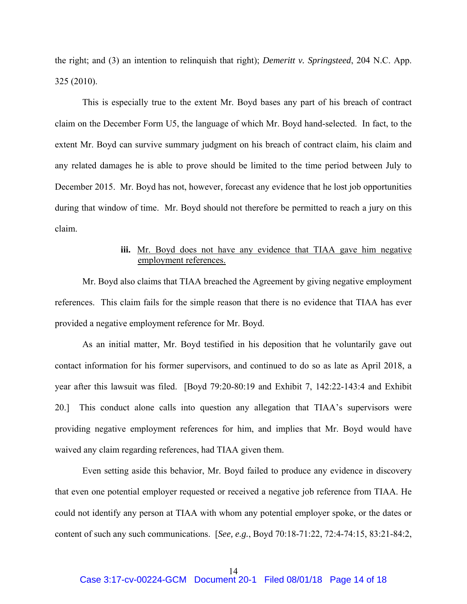the right; and (3) an intention to relinquish that right); *Demeritt v. Springsteed*, 204 N.C. App. 325 (2010).

 This is especially true to the extent Mr. Boyd bases any part of his breach of contract claim on the December Form U5, the language of which Mr. Boyd hand-selected. In fact, to the extent Mr. Boyd can survive summary judgment on his breach of contract claim, his claim and any related damages he is able to prove should be limited to the time period between July to December 2015. Mr. Boyd has not, however, forecast any evidence that he lost job opportunities during that window of time. Mr. Boyd should not therefore be permitted to reach a jury on this claim.

## iii. Mr. Boyd does not have any evidence that TIAA gave him negative employment references.

 Mr. Boyd also claims that TIAA breached the Agreement by giving negative employment references. This claim fails for the simple reason that there is no evidence that TIAA has ever provided a negative employment reference for Mr. Boyd.

 As an initial matter, Mr. Boyd testified in his deposition that he voluntarily gave out contact information for his former supervisors, and continued to do so as late as April 2018, a year after this lawsuit was filed. [Boyd 79:20-80:19 and Exhibit 7, 142:22-143:4 and Exhibit 20.] This conduct alone calls into question any allegation that TIAA's supervisors were providing negative employment references for him, and implies that Mr. Boyd would have waived any claim regarding references, had TIAA given them.

 Even setting aside this behavior, Mr. Boyd failed to produce any evidence in discovery that even one potential employer requested or received a negative job reference from TIAA. He could not identify any person at TIAA with whom any potential employer spoke, or the dates or content of such any such communications. [*See, e.g.*, Boyd 70:18-71:22, 72:4-74:15, 83:21-84:2,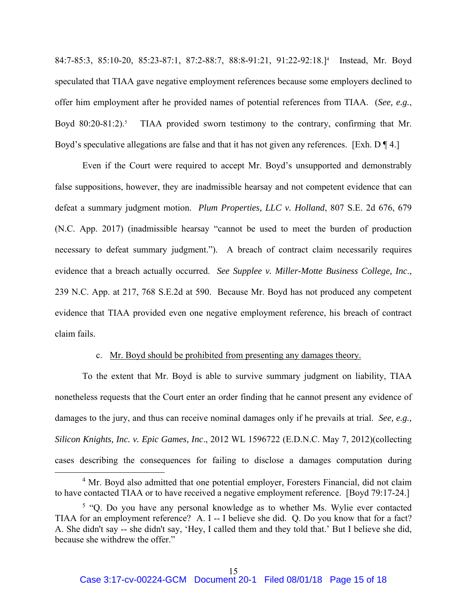84:7-85:3, 85:10-20, 85:23-87:1, 87:2-88:7, 88:8-91:21, 91:22-92:18.]4 Instead, Mr. Boyd speculated that TIAA gave negative employment references because some employers declined to offer him employment after he provided names of potential references from TIAA. (*See, e.g.*, Boyd  $80:20-81:2$ ).<sup>5</sup> TIAA provided sworn testimony to the contrary, confirming that Mr. Boyd's speculative allegations are false and that it has not given any references. [Exh.  $D \P 4$ .]

 Even if the Court were required to accept Mr. Boyd's unsupported and demonstrably false suppositions, however, they are inadmissible hearsay and not competent evidence that can defeat a summary judgment motion. *Plum Properties, LLC v. Holland*, 807 S.E. 2d 676, 679 (N.C. App. 2017) (inadmissible hearsay "cannot be used to meet the burden of production necessary to defeat summary judgment."). A breach of contract claim necessarily requires evidence that a breach actually occurred. *See Supplee v. Miller-Motte Business College, Inc*., 239 N.C. App. at 217, 768 S.E.2d at 590. Because Mr. Boyd has not produced any competent evidence that TIAA provided even one negative employment reference, his breach of contract claim fails.

### c. Mr. Boyd should be prohibited from presenting any damages theory.

 To the extent that Mr. Boyd is able to survive summary judgment on liability, TIAA nonetheless requests that the Court enter an order finding that he cannot present any evidence of damages to the jury, and thus can receive nominal damages only if he prevails at trial. *See, e.g., Silicon Knights, Inc. v. Epic Games, Inc*., 2012 WL 1596722 (E.D.N.C. May 7, 2012)(collecting cases describing the consequences for failing to disclose a damages computation during

 $\overline{\phantom{a}}$ <sup>4</sup> Mr. Boyd also admitted that one potential employer, Foresters Financial, did not claim to have contacted TIAA or to have received a negative employment reference. [Boyd 79:17-24.]

<sup>&</sup>lt;sup>5</sup> "Q. Do you have any personal knowledge as to whether Ms. Wylie ever contacted TIAA for an employment reference? A. I -- I believe she did. Q. Do you know that for a fact? A. She didn't say -- she didn't say, 'Hey, I called them and they told that.' But I believe she did, because she withdrew the offer."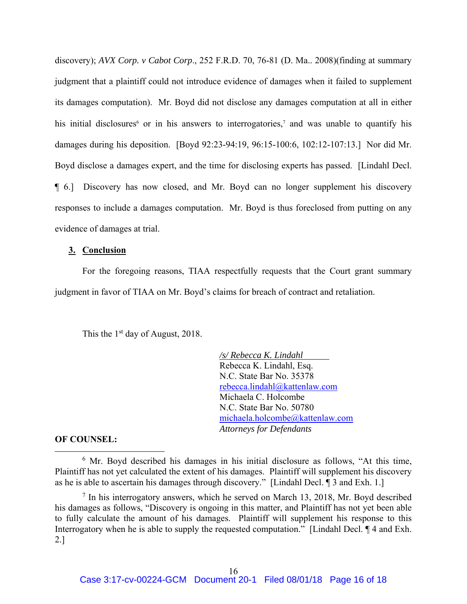discovery); *AVX Corp. v Cabot Corp*., 252 F.R.D. 70, 76-81 (D. Ma.. 2008)(finding at summary judgment that a plaintiff could not introduce evidence of damages when it failed to supplement its damages computation). Mr. Boyd did not disclose any damages computation at all in either his initial disclosures<sup>6</sup> or in his answers to interrogatories,<sup>7</sup> and was unable to quantify his damages during his deposition. [Boyd 92:23-94:19, 96:15-100:6, 102:12-107:13.] Nor did Mr. Boyd disclose a damages expert, and the time for disclosing experts has passed. [Lindahl Decl. ¶ 6.] Discovery has now closed, and Mr. Boyd can no longer supplement his discovery responses to include a damages computation. Mr. Boyd is thus foreclosed from putting on any evidence of damages at trial.

### **3. Conclusion**

 For the foregoing reasons, TIAA respectfully requests that the Court grant summary judgment in favor of TIAA on Mr. Boyd's claims for breach of contract and retaliation.

This the  $1<sup>st</sup>$  day of August, 2018.

*/s/ Rebecca K. Lindahl* Rebecca K. Lindahl, Esq. N.C. State Bar No. 35378 rebecca.lindahl@kattenlaw.com Michaela C. Holcombe N.C. State Bar No. 50780 michaela.holcombe@kattenlaw.com *Attorneys for Defendants* 

#### **OF COUNSEL:**

 <sup>6</sup>  $6$  Mr. Boyd described his damages in his initial disclosure as follows, "At this time, Plaintiff has not yet calculated the extent of his damages. Plaintiff will supplement his discovery as he is able to ascertain his damages through discovery." [Lindahl Decl. ¶ 3 and Exh. 1.]

 $7$  In his interrogatory answers, which he served on March 13, 2018, Mr. Boyd described his damages as follows, "Discovery is ongoing in this matter, and Plaintiff has not yet been able to fully calculate the amount of his damages. Plaintiff will supplement his response to this Interrogatory when he is able to supply the requested computation." [Lindahl Decl.  $\P$  4 and Exh. 2.]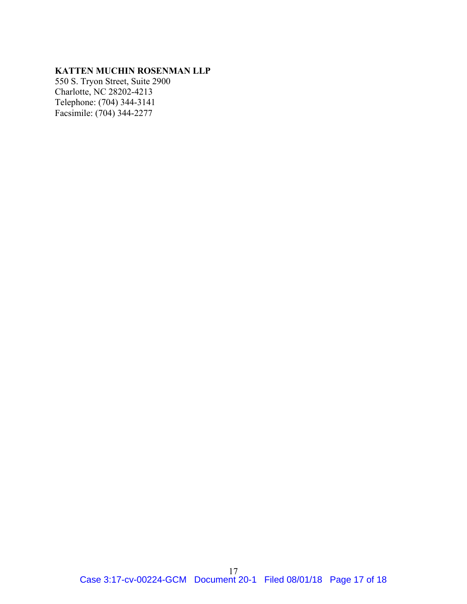# **KATTEN MUCHIN ROSENMAN LLP**

550 S. Tryon Street, Suite 2900 Charlotte, NC 28202-4213 Telephone: (704) 344-3141 Facsimile: (704) 344-2277